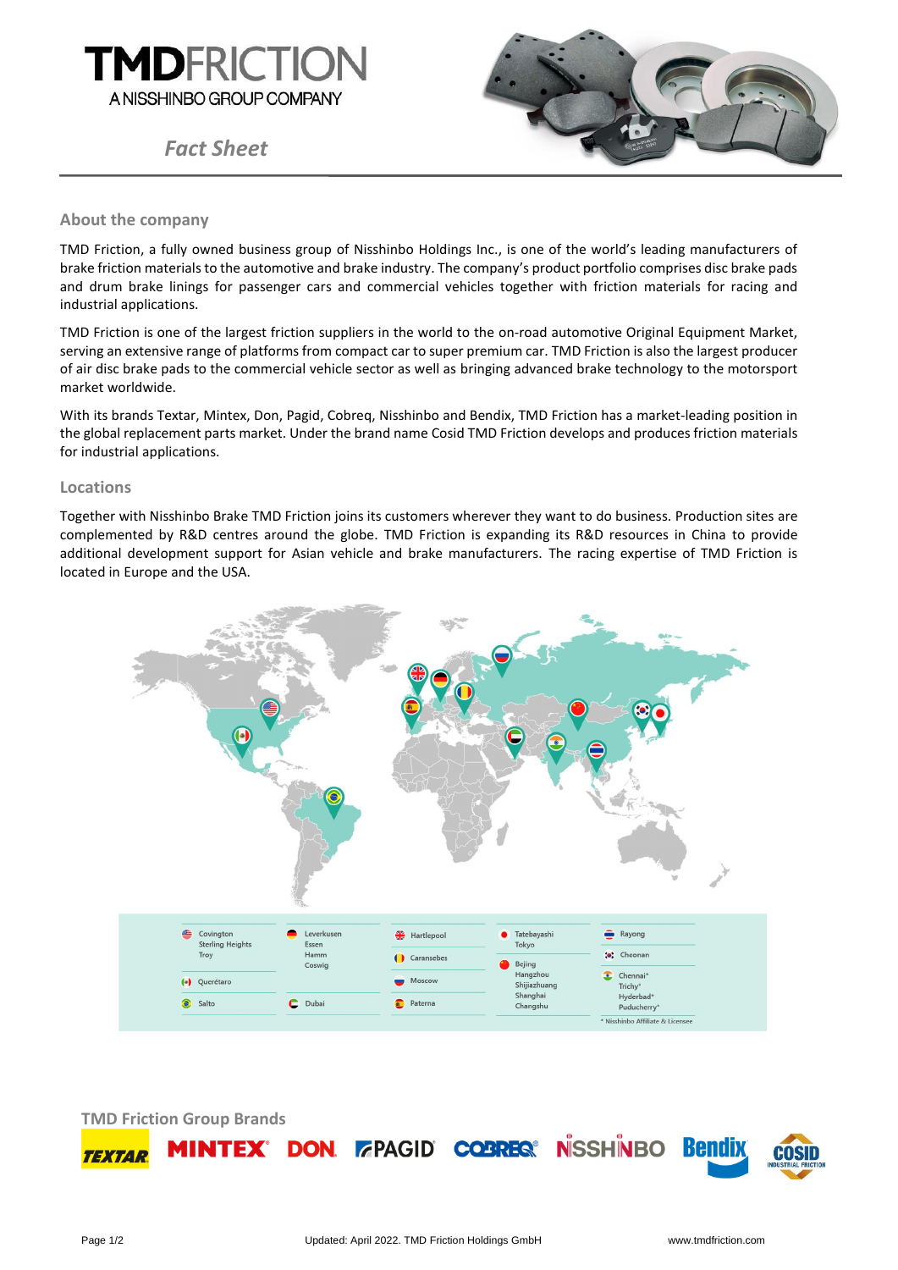

*Fact Sheet*



## **About the company**

TMD Friction, a fully owned business group of Nisshinbo Holdings Inc., is one of the world's leading manufacturers of brake friction materials to the automotive and brake industry. The company's product portfolio comprises disc brake pads and drum brake linings for passenger cars and commercial vehicles together with friction materials for racing and industrial applications.

TMD Friction is one of the largest friction suppliers in the world to the on-road automotive Original Equipment Market, serving an extensive range of platforms from compact car to super premium car. TMD Friction is also the largest producer of air disc brake pads to the commercial vehicle sector as well as bringing advanced brake technology to the motorsport market worldwide.

With its brands Textar, Mintex, Don, Pagid, Cobreq, Nisshinbo and Bendix, TMD Friction has a market-leading position in the global replacement parts market. Under the brand name Cosid TMD Friction develops and produces friction materials for industrial applications.

## **Locations**

Together with Nisshinbo Brake TMD Friction joins its customers wherever they want to do business. Production sites are complemented by R&D centres around the globe. TMD Friction is expanding its R&D resources in China to provide additional development support for Asian vehicle and brake manufacturers. The racing expertise of TMD Friction is located in Europe and the USA.